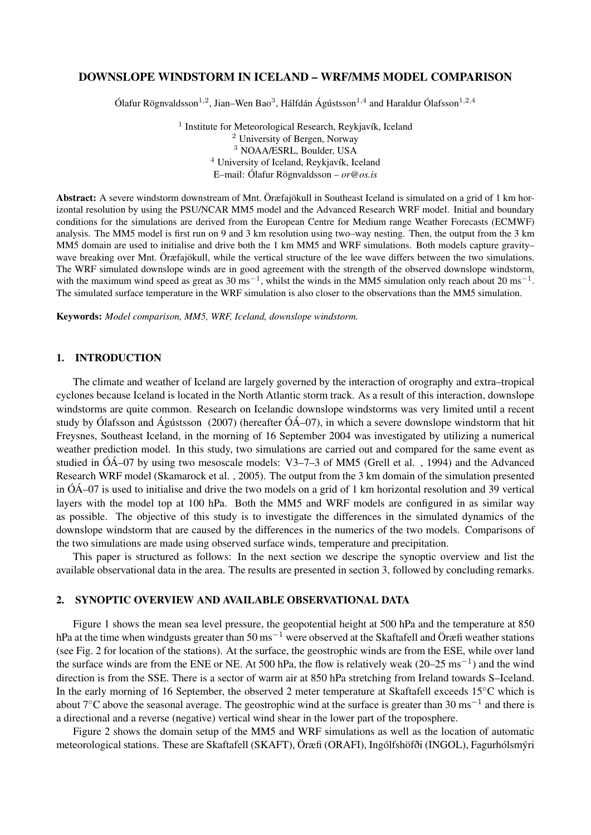# DOWNSLOPE WINDSTORM IN ICELAND – WRF/MM5 MODEL COMPARISON

Ólafur Rögnvaldsson<sup>1,2</sup>, Jian–Wen Bao<sup>3</sup>, Hálfdán Ágústsson<sup>1,4</sup> and Haraldur Ólafsson<sup>1,2,4</sup>

<sup>1</sup> Institute for Meteorological Research, Reykjavík, Iceland <sup>2</sup> University of Bergen, Norway <sup>3</sup> NOAA/ESRL, Boulder, USA <sup>4</sup> University of Iceland, Reykjavík, Iceland E–mail: Ólafur Rögnvaldsson – *or@os.is*

Abstract: A severe windstorm downstream of Mnt. Öræfajökull in Southeast Iceland is simulated on a grid of 1 km horizontal resolution by using the PSU/NCAR MM5 model and the Advanced Research WRF model. Initial and boundary conditions for the simulations are derived from the European Centre for Medium range Weather Forecasts (ECMWF) analysis. The MM5 model is first run on 9 and 3 km resolution using two–way nesting. Then, the output from the 3 km MM5 domain are used to initialise and drive both the 1 km MM5 and WRF simulations. Both models capture gravity– wave breaking over Mnt. Öræfajökull, while the vertical structure of the lee wave differs between the two simulations. The WRF simulated downslope winds are in good agreement with the strength of the observed downslope windstorm, with the maximum wind speed as great as  $30 \text{ ms}^{-1}$ , whilst the winds in the MM5 simulation only reach about  $20 \text{ ms}^{-1}$ . The simulated surface temperature in the WRF simulation is also closer to the observations than the MM5 simulation.

Keywords: *Model comparison, MM5, WRF, Iceland, downslope windstorm.*

### 1. INTRODUCTION

The climate and weather of Iceland are largely governed by the interaction of orography and extra–tropical cyclones because Iceland is located in the North Atlantic storm track. As a result of this interaction, downslope windstorms are quite common. Research on Icelandic downslope windstorms was very limited until a recent study by Ólafsson and Ágústsson (2007) (hereafter ÓÁ–07), in which a severe downslope windstorm that hit Freysnes, Southeast Iceland, in the morning of 16 September 2004 was investigated by utilizing a numerical weather prediction model. In this study, two simulations are carried out and compared for the same event as studied in ÓÁ–07 by using two mesoscale models: V3–7–3 of MM5 (Grell et al. , 1994) and the Advanced Research WRF model (Skamarock et al. , 2005). The output from the 3 km domain of the simulation presented in ÓÁ–07 is used to initialise and drive the two models on a grid of 1 km horizontal resolution and 39 vertical layers with the model top at 100 hPa. Both the MM5 and WRF models are configured in as similar way as possible. The objective of this study is to investigate the differences in the simulated dynamics of the downslope windstorm that are caused by the differences in the numerics of the two models. Comparisons of the two simulations are made using observed surface winds, temperature and precipitation.

This paper is structured as follows: In the next section we descripe the synoptic overview and list the available observational data in the area. The results are presented in section 3, followed by concluding remarks.

# 2. SYNOPTIC OVERVIEW AND AVAILABLE OBSERVATIONAL DATA

Figure 1 shows the mean sea level pressure, the geopotential height at 500 hPa and the temperature at 850 hPa at the time when windgusts greater than  $50 \text{ ms}^{-1}$  were observed at the Skaftafell and Öræfi weather stations (see Fig. 2 for location of the stations). At the surface, the geostrophic winds are from the ESE, while over land the surface winds are from the ENE or NE. At 500 hPa, the flow is relatively weak  $(20-25 \text{ ms}^{-1})$  and the wind direction is from the SSE. There is a sector of warm air at 850 hPa stretching from Ireland towards S–Iceland. In the early morning of 16 September, the observed 2 meter temperature at Skaftafell exceeds 15◦C which is about 7°C above the seasonal average. The geostrophic wind at the surface is greater than 30 ms<sup>-1</sup> and there is a directional and a reverse (negative) vertical wind shear in the lower part of the troposphere.

Figure 2 shows the domain setup of the MM5 and WRF simulations as well as the location of automatic meteorological stations. These are Skaftafell (SKAFT), Öræfi (ORAFI), Ingólfshöfði (INGOL), Fagurhólsmýri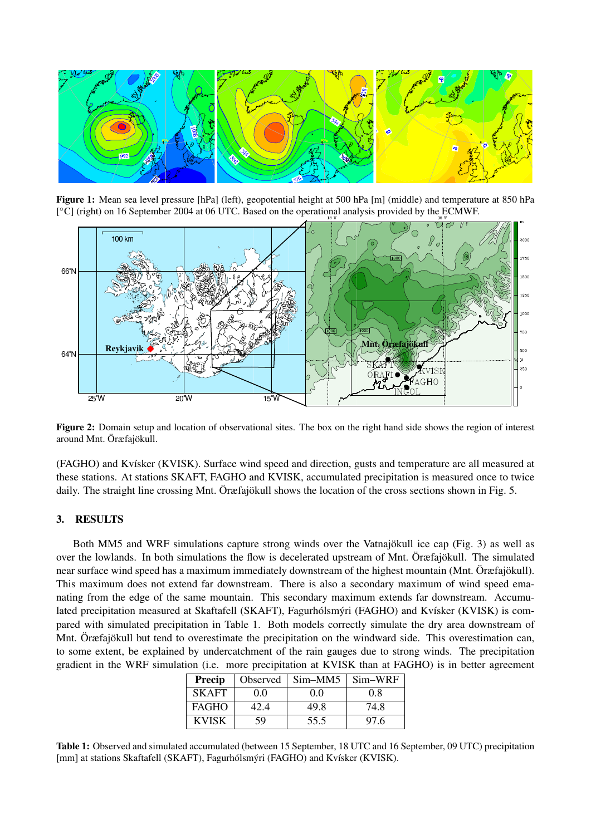

Figure 1: Mean sea level pressure [hPa] (left), geopotential height at 500 hPa [m] (middle) and temperature at 850 hPa [<sup>o</sup>C] (right) on 16 September 2004 at 06 UTC. Based on the operational analysis provided by the ECMWF.



Figure 2: Domain setup and location of observational sites. The box on the right hand side shows the region of interest around Mnt. Öræfajökull.

(FAGHO) and Kvísker (KVISK). Surface wind speed and direction, gusts and temperature are all measured at these stations. At stations SKAFT, FAGHO and KVISK, accumulated precipitation is measured once to twice daily. The straight line crossing Mnt. Öræfajökull shows the location of the cross sections shown in Fig. 5.

### 3. RESULTS

Both MM5 and WRF simulations capture strong winds over the Vatnajökull ice cap (Fig. 3) as well as over the lowlands. In both simulations the flow is decelerated upstream of Mnt. Öræfajökull. The simulated near surface wind speed has a maximum immediately downstream of the highest mountain (Mnt. Öræfajökull). This maximum does not extend far downstream. There is also a secondary maximum of wind speed emanating from the edge of the same mountain. This secondary maximum extends far downstream. Accumulated precipitation measured at Skaftafell (SKAFT), Fagurhólsmýri (FAGHO) and Kvísker (KVISK) is compared with simulated precipitation in Table 1. Both models correctly simulate the dry area downstream of Mnt. Öræfajökull but tend to overestimate the precipitation on the windward side. This overestimation can, to some extent, be explained by undercatchment of the rain gauges due to strong winds. The precipitation gradient in the WRF simulation (i.e. more precipitation at KVISK than at FAGHO) is in better agreement

| <b>Precip</b> | <b>Observed</b> | $Sim-MM5$ | Sim-WRF |
|---------------|-----------------|-----------|---------|
| <b>SKAFT</b>  | 00              | 0.0       | 0.8     |
| <b>FAGHO</b>  | 42.4            | 49.8      | 74.8    |
| <b>KVISK</b>  | 59              | 55.5      | 97.6    |

Table 1: Observed and simulated accumulated (between 15 September, 18 UTC and 16 September, 09 UTC) precipitation [mm] at stations Skaftafell (SKAFT), Fagurhólsmýri (FAGHO) and Kvísker (KVISK).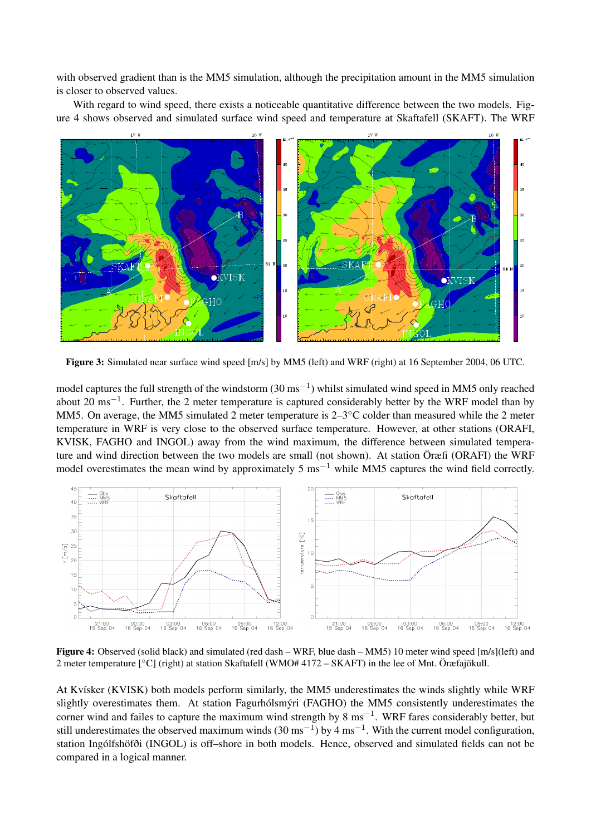with observed gradient than is the MM5 simulation, although the precipitation amount in the MM5 simulation is closer to observed values.

With regard to wind speed, there exists a noticeable quantitative difference between the two models. Figure 4 shows observed and simulated surface wind speed and temperature at Skaftafell (SKAFT). The WRF



Figure 3: Simulated near surface wind speed  $[m/s]$  by MM5 (left) and WRF (right) at 16 September 2004, 06 UTC.

model captures the full strength of the windstorm  $(30 \text{ ms}^{-1})$  whilst simulated wind speed in MM5 only reached about 20 ms<sup>-1</sup>. Further, the 2 meter temperature is captured considerably better by the WRF model than by MM5. On average, the MM5 simulated 2 meter temperature is 2–3◦C colder than measured while the 2 meter temperature in WRF is very close to the observed surface temperature. However, at other stations (ORAFI, KVISK, FAGHO and INGOL) away from the wind maximum, the difference between simulated temperature and wind direction between the two models are small (not shown). At station Öræfi (ORAFI) the WRF model overestimates the mean wind by approximately 5 ms<sup>-1</sup> while MM5 captures the wind field correctly.



Figure 4: Observed (solid black) and simulated (red dash – WRF, blue dash – MM5) 10 meter wind speed [m/s](left) and 2 meter temperature [◦C] (right) at station Skaftafell (WMO# 4172 – SKAFT) in the lee of Mnt. Öræfajökull.

At Kvísker (KVISK) both models perform similarly, the MM5 underestimates the winds slightly while WRF slightly overestimates them. At station Fagurhólsmýri (FAGHO) the MM5 consistently underestimates the corner wind and failes to capture the maximum wind strength by 8 ms<sup>-1</sup>. WRF fares considerably better, but still underestimates the observed maximum winds (30 ms<sup>-1</sup>) by 4 ms<sup>-1</sup>. With the current model configuration, station Ingólfshöfði (INGOL) is off–shore in both models. Hence, observed and simulated fields can not be compared in a logical manner.